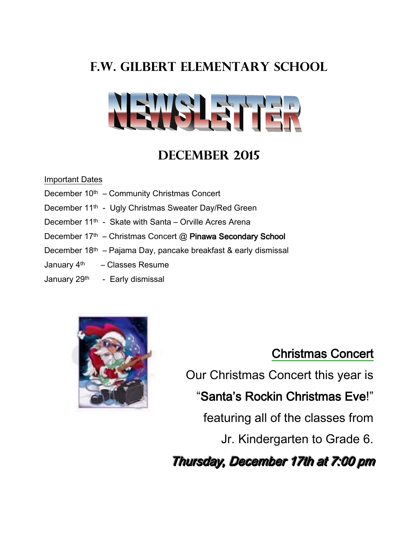# **F.W. Gilbert Elementary School**



## **December 2015**

#### Important Dates

- December 10<sup>th</sup> Community Christmas Concert
- December 11th Ugly Christmas Sweater Day/Red Green
- December 11<sup>th</sup> Skate with Santa Orville Acres Arena
- December 17<sup>th</sup> Christmas Concert @ Pinawa Secondary School
- December 18th Pajama Day, pancake breakfast & early dismissal
- January  $4<sup>th</sup>$  Classes Resume
- January 29<sup>th</sup> Early dismissal



## Christmas Concert

Our Christmas Concert this year is

## "Santa's Rockin Christmas Eve!"

featuring all of the classes from

Jr. Kindergarten to Grade 6.

Thursday, December 17th at 7:00 pm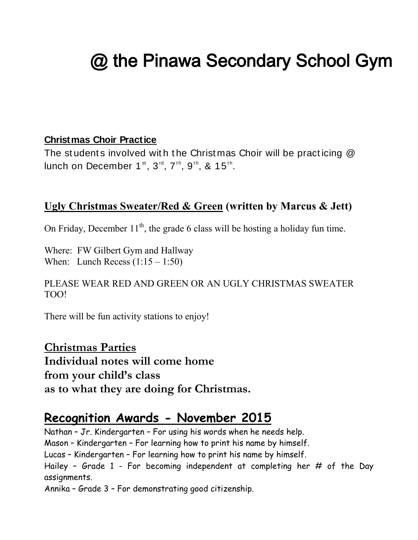# @ the Pinawa Secondary School Gym

### **Christmas Choir Practice**

The students involved with the Christmas Choir will be practicing  $@$ lunch on December 1<sup>st</sup>, 3<sup>rd</sup>, 7<sup>th</sup>, 9<sup>th</sup>, & 15<sup>th</sup>.

## **Ugly Christmas Sweater/Red & Green (written by Marcus & Jett)**

On Friday, December  $11<sup>th</sup>$ , the grade 6 class will be hosting a holiday fun time.

Where: FW Gilbert Gym and Hallway When: Lunch Recess  $(1:15 - 1:50)$ 

PLEASE WEAR RED AND GREEN OR AN UGLY CHRISTMAS SWEATER TOO!

There will be fun activity stations to enjoy!

**Christmas Parties Individual notes will come home from your child's class as to what they are doing for Christmas.** 

## **Recognition Awards - November 2015**

Nathan – Jr. Kindergarten – For using his words when he needs help. Mason – Kindergarten – For learning how to print his name by himself. Lucas – Kindergarten – For learning how to print his name by himself. Hailey - Grade 1 - For becoming independent at completing her  $#$  of the Day assignments.

Annika – Grade 3 – For demonstrating good citizenship.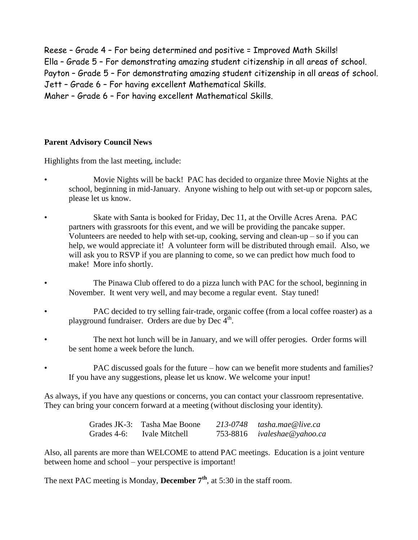Reese – Grade 4 – For being determined and positive = Improved Math Skills! Ella – Grade 5 – For demonstrating amazing student citizenship in all areas of school. Payton – Grade 5 – For demonstrating amazing student citizenship in all areas of school. Jett – Grade 6 – For having excellent Mathematical Skills. Maher – Grade 6 – For having excellent Mathematical Skills.

#### **Parent Advisory Council News**

Highlights from the last meeting, include:

- Movie Nights will be back! PAC has decided to organize three Movie Nights at the school, beginning in mid-January. Anyone wishing to help out with set-up or popcorn sales, please let us know.
- Skate with Santa is booked for Friday, Dec 11, at the Orville Acres Arena. PAC partners with grassroots for this event, and we will be providing the pancake supper. Volunteers are needed to help with set-up, cooking, serving and clean-up – so if you can help, we would appreciate it! A volunteer form will be distributed through email. Also, we will ask you to RSVP if you are planning to come, so we can predict how much food to make! More info shortly.
- The Pinawa Club offered to do a pizza lunch with PAC for the school, beginning in November. It went very well, and may become a regular event. Stay tuned!
- PAC decided to try selling fair-trade, organic coffee (from a local coffee roaster) as a playground fundraiser. Orders are due by Dec  $4<sup>th</sup>$ .
- The next hot lunch will be in January, and we will offer perogies. Order forms will be sent home a week before the lunch.
	- PAC discussed goals for the future how can we benefit more students and families? If you have any suggestions, please let us know. We welcome your input!

As always, if you have any questions or concerns, you can contact your classroom representative. They can bring your concern forward at a meeting (without disclosing your identity).

|  | Grades JK-3: Tasha Mae Boone | 213-0748 tasha.mae@live.ca  |
|--|------------------------------|-----------------------------|
|  | Grades 4-6: Ivale Mitchell   | 753-8816 ivaleshae@yahoo.ca |

Also, all parents are more than WELCOME to attend PAC meetings. Education is a joint venture between home and school – your perspective is important!

The next PAC meeting is Monday, **December 7th**, at 5:30 in the staff room.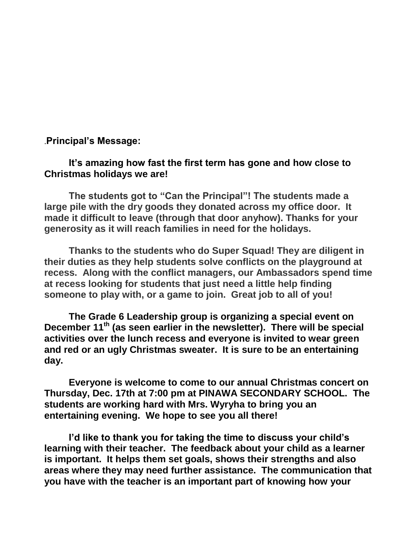.**Principal's Message:**

#### **It's amazing how fast the first term has gone and how close to Christmas holidays we are!**

**The students got to "Can the Principal"! The students made a large pile with the dry goods they donated across my office door. It made it difficult to leave (through that door anyhow). Thanks for your generosity as it will reach families in need for the holidays.** 

**Thanks to the students who do Super Squad! They are diligent in their duties as they help students solve conflicts on the playground at recess. Along with the conflict managers, our Ambassadors spend time at recess looking for students that just need a little help finding someone to play with, or a game to join. Great job to all of you!**

**The Grade 6 Leadership group is organizing a special event on December 11th (as seen earlier in the newsletter). There will be special activities over the lunch recess and everyone is invited to wear green and red or an ugly Christmas sweater. It is sure to be an entertaining day.**

**Everyone is welcome to come to our annual Christmas concert on Thursday, Dec. 17th at 7:00 pm at PINAWA SECONDARY SCHOOL. The students are working hard with Mrs. Wyryha to bring you an entertaining evening. We hope to see you all there!**

**I'd like to thank you for taking the time to discuss your child's learning with their teacher. The feedback about your child as a learner is important. It helps them set goals, shows their strengths and also areas where they may need further assistance. The communication that you have with the teacher is an important part of knowing how your**